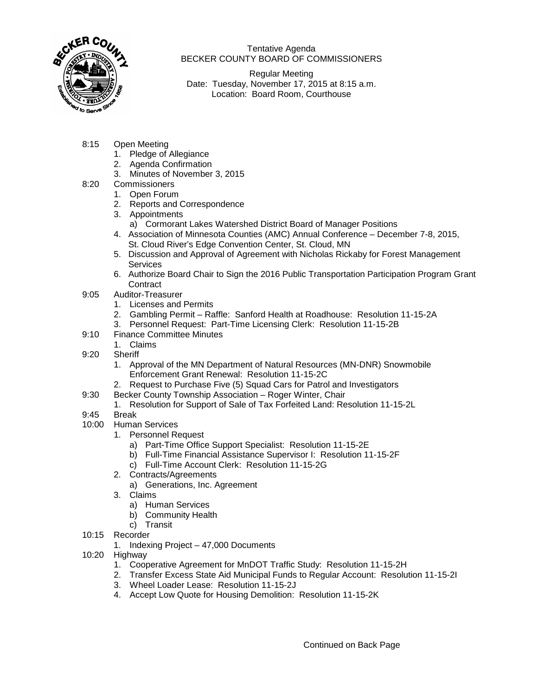

Tentative Agenda BECKER COUNTY BOARD OF COMMISSIONERS

Regular Meeting Date: Tuesday, November 17, 2015 at 8:15 a.m. Location: Board Room, Courthouse

- 8:15 Open Meeting
	- 1. Pledge of Allegiance
	- 2. Agenda Confirmation
	- 3. Minutes of November 3, 2015
- 8:20 Commissioners
	- 1. Open Forum
	- 2. Reports and Correspondence
	- 3. Appointments
		- a) Cormorant Lakes Watershed District Board of Manager Positions
	- 4. Association of Minnesota Counties (AMC) Annual Conference December 7-8, 2015, St. Cloud River's Edge Convention Center, St. Cloud, MN
	- 5. Discussion and Approval of Agreement with Nicholas Rickaby for Forest Management **Services**
	- 6.Authorize Board Chair to Sign the 2016 Public Transportation Participation Program Grant **Contract**
- 9:05 Auditor-Treasurer
	- 1. Licenses and Permits
	- 2. Gambling Permit Raffle: Sanford Health at Roadhouse: Resolution 11-15-2A
	- 3. Personnel Request: Part-Time Licensing Clerk: Resolution 11-15-2B
- 9:10 Finance Committee Minutes
	- 1. Claims
- 9:20 Sheriff
	- 1. Approval of the MN Department of Natural Resources (MN-DNR) Snowmobile Enforcement Grant Renewal: Resolution 11-15-2C
	- 2. Request to Purchase Five (5) Squad Cars for Patrol and Investigators
- 9:30 Becker County Township Association Roger Winter, Chair
	- 1. Resolution for Support of Sale of Tax Forfeited Land: Resolution 11-15-2L
- 9:45 Break
- 10:00 Human Services
	- 1. Personnel Request
		- a) Part-Time Office Support Specialist: Resolution 11-15-2E
		- b) Full-Time Financial Assistance Supervisor I: Resolution 11-15-2F
		- c) Full-Time Account Clerk: Resolution 11-15-2G
	- 2. Contracts/Agreements
		- a) Generations, Inc. Agreement
	- 3. Claims
		- a) Human Services
		- b) Community Health
		- c) Transit
- 10:15 Recorder
	- 1. Indexing Project 47,000 Documents
- 10:20 Highway
	- 1. Cooperative Agreement for MnDOT Traffic Study: Resolution 11-15-2H
	- 2. Transfer Excess State Aid Municipal Funds to Regular Account: Resolution 11-15-2I
	- 3. Wheel Loader Lease: Resolution 11-15-2J
	- 4. Accept Low Quote for Housing Demolition: Resolution 11-15-2K